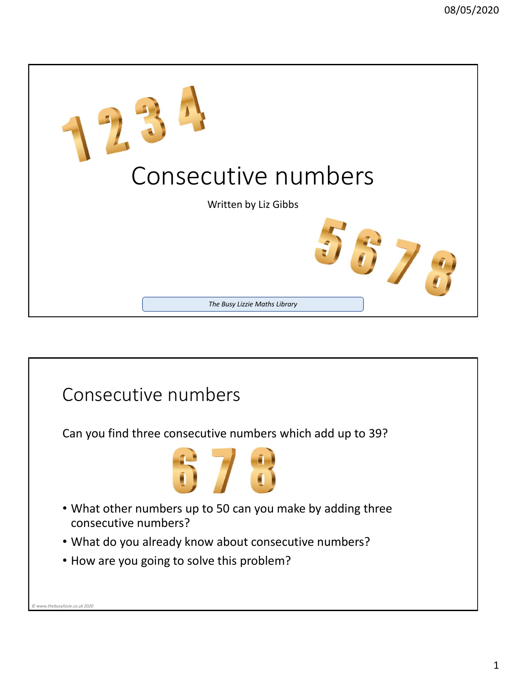

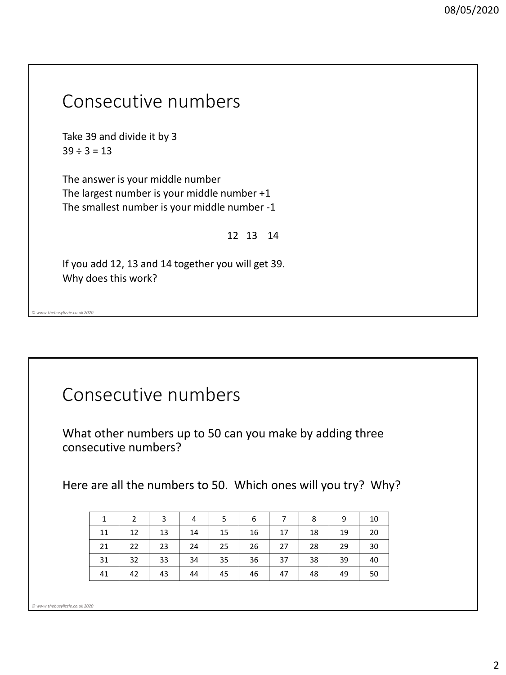## Consecutive numbers

Take 39 and divide it by 3  $39 \div 3 = 13$ 

The answer is your middle number The largest number is your middle number +1 The smallest number is your middle number -1

12 13 14

If you add 12, 13 and 14 together you will get 39. Why does this work?

*© www.thebusylizzie.co.uk 2020* 

## Consecutive numbers

What other numbers up to 50 can you make by adding three consecutive numbers?

Here are all the numbers to 50. Which ones will you try? Why?

| $\mathbf{1}$ | $\overline{2}$ |    |    |      | 6 <sub>6</sub> | $\begin{array}{ccc} \end{array}$ | - 8 | 9  | 10 |
|--------------|----------------|----|----|------|----------------|----------------------------------|-----|----|----|
| 11           | 12             | 13 | 14 | 15   | 16             | 17                               | 18  | 19 | 20 |
| 21           | 22             | 23 | 24 | - 25 | 26             | 27                               | 28  | 29 | 30 |
| 31           | 32             | 33 | 34 | 35   | 36             | 37                               | 38  | 39 | 40 |
| 41           | 42             | 43 | 44 | 45   | 46             | 47                               | 48  | 49 | 50 |

*© www.thebusylizzie.co.uk 2020 © www.thebusylizzie.co.uk 2020*